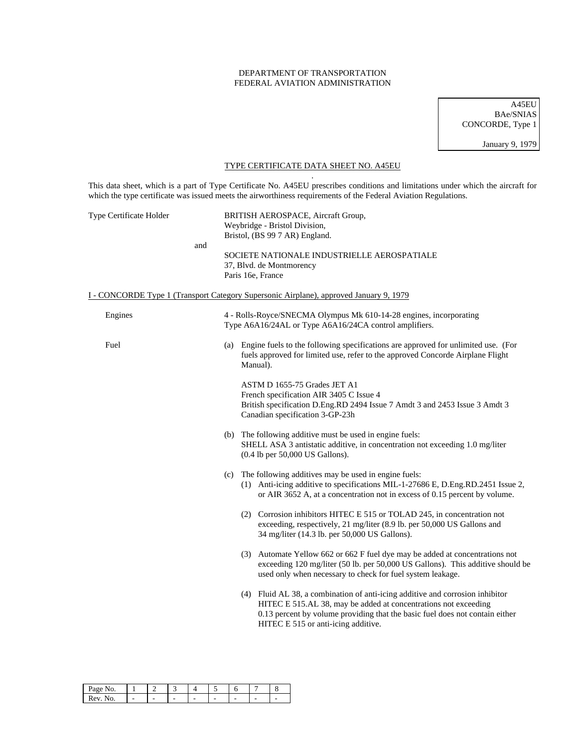### DEPARTMENT OF TRANSPORTATION FEDERAL AVIATION ADMINISTRATION

A45EU BAe/SNIAS CONCORDE, Type 1

January 9, 1979

## TYPE CERTIFICATE DATA SHEET NO. A45EU .

This data sheet, which is a part of Type Certificate No. A45EU prescribes conditions and limitations under which the aircraft for which the type certificate was issued meets the airworthiness requirements of the Federal Aviation Regulations.

| Type Certificate Holder | BRITISH AEROSPACE, Aircraft Group,<br>Weybridge - Bristol Division,<br>Bristol, (BS 99 7 AR) England.                                                                                                                                                                   |  |  |  |  |
|-------------------------|-------------------------------------------------------------------------------------------------------------------------------------------------------------------------------------------------------------------------------------------------------------------------|--|--|--|--|
| and                     | SOCIETE NATIONALE INDUSTRIELLE AEROSPATIALE<br>37, Blvd. de Montmorency<br>Paris 16e, France                                                                                                                                                                            |  |  |  |  |
|                         | I - CONCORDE Type 1 (Transport Category Supersonic Airplane), approved January 9, 1979                                                                                                                                                                                  |  |  |  |  |
| Engines                 | 4 - Rolls-Royce/SNECMA Olympus Mk 610-14-28 engines, incorporating<br>Type A6A16/24AL or Type A6A16/24CA control amplifiers.                                                                                                                                            |  |  |  |  |
| Fuel                    | (a) Engine fuels to the following specifications are approved for unlimited use. (For<br>fuels approved for limited use, refer to the approved Concorde Airplane Flight<br>Manual).                                                                                     |  |  |  |  |
|                         | ASTM D 1655-75 Grades JET A1<br>French specification AIR 3405 C Issue 4<br>British specification D.Eng.RD 2494 Issue 7 Amdt 3 and 2453 Issue 3 Amdt 3<br>Canadian specification 3-GP-23h                                                                                |  |  |  |  |
|                         | (b) The following additive must be used in engine fuels:<br>SHELL ASA 3 antistatic additive, in concentration not exceeding 1.0 mg/liter<br>$(0.4$ lb per 50,000 US Gallons).                                                                                           |  |  |  |  |
|                         | (c) The following additives may be used in engine fuels:<br>(1) Anti-icing additive to specifications MIL-1-27686 E, D.Eng.RD.2451 Issue 2,<br>or AIR 3652 A, at a concentration not in excess of 0.15 percent by volume.                                               |  |  |  |  |
|                         | (2) Corrosion inhibitors HITEC E 515 or TOLAD 245, in concentration not<br>exceeding, respectively, 21 mg/liter (8.9 lb. per 50,000 US Gallons and<br>34 mg/liter (14.3 lb. per 50,000 US Gallons).                                                                     |  |  |  |  |
|                         | (3) Automate Yellow 662 or 662 F fuel dye may be added at concentrations not<br>exceeding 120 mg/liter (50 lb. per 50,000 US Gallons). This additive should be<br>used only when necessary to check for fuel system leakage.                                            |  |  |  |  |
|                         | (4) Fluid AL 38, a combination of anti-icing additive and corrosion inhibitor<br>HITEC E 515.AL 38, may be added at concentrations not exceeding<br>0.13 percent by volume providing that the basic fuel does not contain either<br>HITEC E 515 or anti-icing additive. |  |  |  |  |
|                         |                                                                                                                                                                                                                                                                         |  |  |  |  |

| age                    |  |   |  |  |  |
|------------------------|--|---|--|--|--|
| $^{\prime}$ $\alpha$ V |  | - |  |  |  |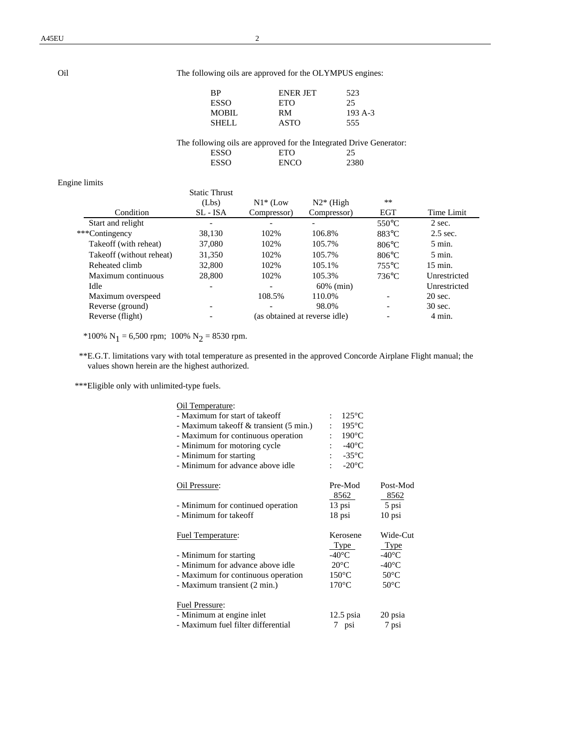# Oil The following oils are approved for the OLYMPUS engines:

| RР           | <b>ENER JET</b> | 523      |
|--------------|-----------------|----------|
| ESSO         | ETO             | 25       |
| <b>MOBIL</b> | RМ              | $193A-3$ |
| SHELL        | ASTO            | 555      |

The following oils are approved for the Integrated Drive Generator:<br>ESSO ETO 25 ESSO ETO 25<br>
ESSO ENCO 2380 **ENCO** 

| Engine limits |  |
|---------------|--|

|                          | <b>Static Thrust</b> |             |                               |                 |                    |
|--------------------------|----------------------|-------------|-------------------------------|-----------------|--------------------|
|                          | (Lbs)                | $N1*$ (Low  | $N2*$ (High                   | $***$           |                    |
| Condition                | SL - ISA             | Compressor) | Compressor)                   | <b>EGT</b>      | Time Limit         |
| Start and relight        |                      |             |                               | $550^{\circ}$ C | 2 sec.             |
| ***Contingency           | 38.130               | 102%        | 106.8%                        | $883^{\circ}$ C | $2.5$ sec.         |
| Takeoff (with reheat)    | 37,080               | 102%        | 105.7%                        | $806^{\circ}$ C | $5 \text{ min.}$   |
| Takeoff (without reheat) | 31,350               | 102%        | 105.7%                        | $806^{\circ}$ C | $5 \text{ min.}$   |
| Reheated climb           | 32,800               | 102%        | 105.1%                        | $755^{\circ}$ C | $15 \text{ min}$ . |
| Maximum continuous       | 28,800               | 102%        | 105.3%                        | $736$ °C        | Unrestricted       |
| Idle                     |                      |             | $60\%$ (min)                  |                 | Unrestricted       |
| Maximum overspeed        |                      | 108.5%      | 110.0%                        |                 | $20 \text{ sec.}$  |
| Reverse (ground)         |                      |             | 98.0%                         |                 | 30 sec.            |
| Reverse (flight)         |                      |             | (as obtained at reverse idle) |                 | 4 min.             |
|                          |                      |             |                               |                 |                    |

\*100%  $N_1 = 6,500$  rpm; 100%  $N_2 = 8530$  rpm.

 \*\*E.G.T. limitations vary with total temperature as presented in the approved Concorde Airplane Flight manual; the values shown herein are the highest authorized.

\*\*\*Eligible only with unlimited-type fuels.

| Oil Temperature:                        |                      |                 |
|-----------------------------------------|----------------------|-----------------|
| - Maximum for start of takeoff          | $125^{\circ}$ C<br>÷ |                 |
| - Maximum take off & transient (5 min.) | $195^{\circ}$ C      |                 |
| - Maximum for continuous operation      | $190^{\circ}$ C      |                 |
| - Minimum for motoring cycle            | $-40^{\circ}$ C      |                 |
| - Minimum for starting                  | $-35^{\circ}$ C      |                 |
| - Minimum for advance above idle        | $-20^{\circ}$ C      |                 |
| Oil Pressure:                           | Pre-Mod              | Post-Mod        |
|                                         | 8562                 | 8562            |
| - Minimum for continued operation       | 13 psi               | 5 psi           |
| - Minimum for takeoff                   | 18 psi               | $10$ psi        |
| Fuel Temperature:                       | Kerosene             | Wide-Cut        |
|                                         | <b>Type</b>          | Type            |
| - Minimum for starting                  | -40°C $\,$           | $-40^{\circ}$ C |
| - Minimum for advance above idle        | $20^{\circ}$ C       | $-40^{\circ}$ C |
| - Maximum for continuous operation      | $150^{\circ}$ C      | $50^{\circ}$ C  |
| - Maximum transient (2 min.)            | $170^{\circ}$ C      | $50^{\circ}$ C  |
| <b>Fuel Pressure:</b>                   |                      |                 |
| - Minimum at engine inlet               | $12.5$ psia          | 20 psia         |
| - Maximum fuel filter differential      |                      |                 |
|                                         | 7 psi                | 7 psi           |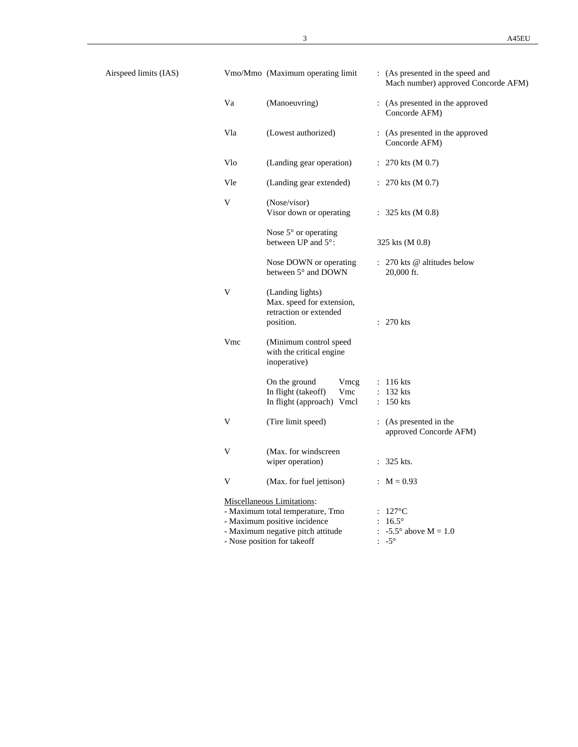Airspeed limits (IAS)

|     | Vmo/Mmo (Maximum operating limit                                                                                                                                   | : (As presented in the speed and<br>Mach number) approved Concorde AFM)                           |
|-----|--------------------------------------------------------------------------------------------------------------------------------------------------------------------|---------------------------------------------------------------------------------------------------|
| Va  | (Manoeuvring)                                                                                                                                                      | : (As presented in the approved<br>Concorde AFM)                                                  |
| Vla | (Lowest authorized)                                                                                                                                                | : (As presented in the approved<br>Concorde AFM)                                                  |
| Vlo | (Landing gear operation)                                                                                                                                           | : $270$ kts (M 0.7)                                                                               |
| Vle | (Landing gear extended)                                                                                                                                            | : $270$ kts (M 0.7)                                                                               |
| V   | (Nose/visor)<br>Visor down or operating                                                                                                                            | : $325$ kts (M 0.8)                                                                               |
|     | Nose 5° or operating<br>between UP and 5°:                                                                                                                         | 325 kts (M 0.8)                                                                                   |
|     | Nose DOWN or operating<br>between 5° and DOWN                                                                                                                      | : 270 kts @ altitudes below<br>20,000 ft.                                                         |
| V   | (Landing lights)<br>Max. speed for extension,<br>retraction or extended<br>position.                                                                               | $: 270$ kts                                                                                       |
| Vmc | (Minimum control speed<br>with the critical engine<br>inoperative)                                                                                                 |                                                                                                   |
|     | On the ground<br>Vmcg<br>In flight (takeoff)<br>Vmc<br>In flight (approach) Vmcl                                                                                   | $: 116$ kts<br>$: 132$ kts<br>$: 150$ kts                                                         |
| V   | (Tire limit speed)                                                                                                                                                 | : (As presented in the<br>approved Concorde AFM)                                                  |
| V   | (Max. for windscreen)<br>wiper operation)                                                                                                                          | 325 kts.<br>÷                                                                                     |
| V   | (Max. for fuel jettison)                                                                                                                                           | : $M = 0.93$                                                                                      |
|     | Miscellaneous Limitations:<br>- Maximum total temperature, Tmo<br>- Maximum positive incidence<br>- Maximum negative pitch attitude<br>- Nose position for takeoff | $127^{\circ}$ C<br>$16.5^\circ$<br>$-5.5^{\circ}$ above M = 1.0<br>$\ddot{\cdot}$<br>$-5^{\circ}$ |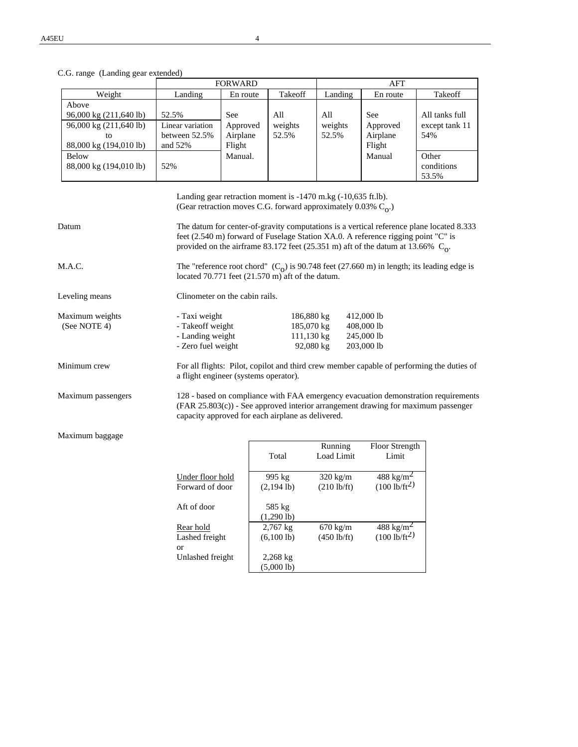C.G. range (Landing gear extended)

|                        |                  | <b>FORWARD</b> |         |         | AFT        |                |  |
|------------------------|------------------|----------------|---------|---------|------------|----------------|--|
| Weight                 | Landing          | En route       | Takeoff | Landing | En route   | Takeoff        |  |
| Above                  |                  |                |         |         |            |                |  |
| 96,000 kg (211,640 lb) | 52.5%            | <b>See</b>     | All     | All     | <b>See</b> | All tanks full |  |
| 96,000 kg (211,640 lb) | Linear variation | Approved       | weights | weights | Approved   | except tank 11 |  |
| tο                     | between 52.5%    | Airplane       | 52.5%   | 52.5%   | Airplane   | 54%            |  |
| 88,000 kg (194,010 lb) | and $52\%$       | Flight         |         |         | Flight     |                |  |
| <b>Below</b>           |                  | Manual.        |         |         | Manual     | Other          |  |
| 88,000 kg (194,010 lb) | 52%              |                |         |         |            | conditions     |  |
|                        |                  |                |         |         |            | 53.5%          |  |

|                                 | Landing gear retraction moment is $-1470$ m.kg $(-10,635$ ft.lb).<br>(Gear retraction moves C.G. forward approximately 0.03% $C_0$ .)                                                                                          |                                                                                                                                                                                                                                                                     |                                                      |  |  |  |
|---------------------------------|--------------------------------------------------------------------------------------------------------------------------------------------------------------------------------------------------------------------------------|---------------------------------------------------------------------------------------------------------------------------------------------------------------------------------------------------------------------------------------------------------------------|------------------------------------------------------|--|--|--|
| Datum                           |                                                                                                                                                                                                                                | The datum for center-of-gravity computations is a vertical reference plane located 8.333<br>feet (2.540 m) forward of Fuselage Station XA.0. A reference rigging point "C" is<br>provided on the airframe 83.172 feet (25.351 m) aft of the datum at 13.66% $C_0$ . |                                                      |  |  |  |
| M.A.C.                          |                                                                                                                                                                                                                                | The "reference root chord" $(C_0)$ is 90.748 feet (27.660 m) in length; its leading edge is<br>located $70.771$ feet $(21.570 \text{ m})$ aft of the datum.                                                                                                         |                                                      |  |  |  |
| Leveling means                  | Clinometer on the cabin rails.                                                                                                                                                                                                 |                                                                                                                                                                                                                                                                     |                                                      |  |  |  |
| Maximum weights<br>(See NOTE 4) | - Taxi weight<br>- Takeoff weight<br>- Landing weight<br>- Zero fuel weight                                                                                                                                                    | 186,880 kg<br>185,070 kg<br>$111,130 \text{ kg}$<br>92,080 kg                                                                                                                                                                                                       | 412,000 lb<br>408,000 lb<br>245,000 lb<br>203,000 lb |  |  |  |
| Minimum crew                    | For all flights: Pilot, copilot and third crew member capable of performing the duties of<br>a flight engineer (systems operator).                                                                                             |                                                                                                                                                                                                                                                                     |                                                      |  |  |  |
| Maximum passengers              | 128 - based on compliance with FAA emergency evacuation demonstration requirements<br>$(FAR 25.803(c))$ - See approved interior arrangement drawing for maximum passenger<br>capacity approved for each airplane as delivered. |                                                                                                                                                                                                                                                                     |                                                      |  |  |  |

Maximum baggage

|                  | Total                          | Running<br>Load Limit | Floor Strength<br>Limit |
|------------------|--------------------------------|-----------------------|-------------------------|
| Under floor hold | 995 kg                         | $320 \text{ kg/m}$    | 488 kg/m <sup>2</sup>   |
| Forward of door  | $(2,194 \text{ lb})$           | $(210 \text{ lb/ft})$ | $(100 \text{ lb/ft}^2)$ |
| Aft of door      | 585 kg<br>$(1,290 \text{ lb})$ |                       |                         |
| Rear hold        | $2,767$ kg                     | $670 \text{ kg/m}$    | 488 kg/m <sup>2</sup>   |
| Lashed freight   | $(6,100 \text{ lb})$           | $(450 \text{ lb/ft})$ | $(100 \text{ lb/ft}^2)$ |
| or               |                                |                       |                         |
| Unlashed freight | $2,268$ kg                     |                       |                         |
|                  | (5,0001b)                      |                       |                         |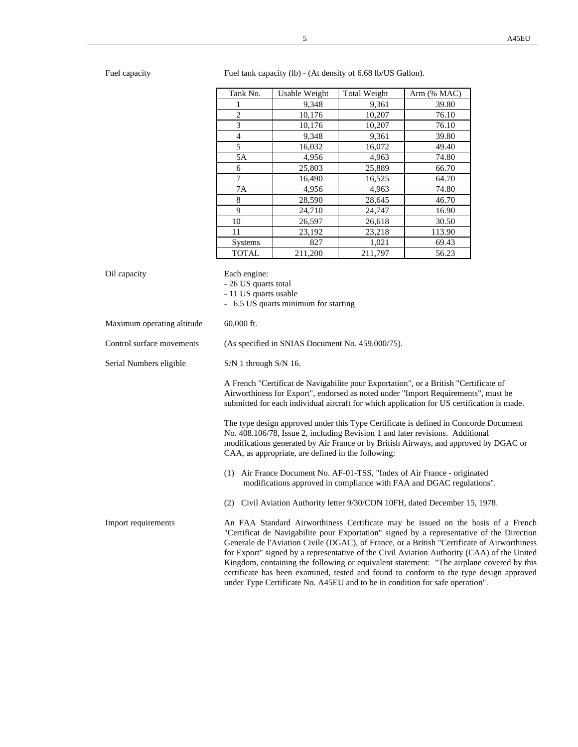Fuel capacity Fuel tank capacity (lb) - (At density of 6.68 lb/US Gallon).

| Tank No.       | Usable Weight | Total Weight | Arm (% MAC) |
|----------------|---------------|--------------|-------------|
| 1              | 9,348         | 9,361        | 39.80       |
| $\overline{c}$ | 10,176        | 10,207       | 76.10       |
| 3              | 10,176        | 10,207       | 76.10       |
| 4              | 9,348         | 9,361        | 39.80       |
| 5              | 16,032        | 16,072       | 49.40       |
| 5A             | 4,956         | 4,963        | 74.80       |
| 6              | 25,803        | 25,889       | 66.70       |
| 7              | 16,490        | 16,525       | 64.70       |
| 7Α             | 4,956         | 4,963        | 74.80       |
| 8              | 28,590        | 28,645       | 46.70       |
| 9              | 24,710        | 24,747       | 16.90       |
| 10             | 26,597        | 26.618       | 30.50       |
| 11             | 23,192        | 23,218       | 113.90      |
| <b>Systems</b> | 827           | 1,021        | 69.43       |
| <b>TOTAL</b>   | 211,200       | 211,797      | 56.23       |

| Oil capacity               | Each engine:<br>- 26 US quarts total<br>- 11 US quarts usable<br>- 6.5 US quarts minimum for starting                                                                                                                                                                                                                                                                                                                                                                                                                                                                                                                                            |
|----------------------------|--------------------------------------------------------------------------------------------------------------------------------------------------------------------------------------------------------------------------------------------------------------------------------------------------------------------------------------------------------------------------------------------------------------------------------------------------------------------------------------------------------------------------------------------------------------------------------------------------------------------------------------------------|
| Maximum operating altitude | $60,000$ ft.                                                                                                                                                                                                                                                                                                                                                                                                                                                                                                                                                                                                                                     |
| Control surface movements  | (As specified in SNIAS Document No. 459.000/75).                                                                                                                                                                                                                                                                                                                                                                                                                                                                                                                                                                                                 |
| Serial Numbers eligible    | $S/N$ 1 through $S/N$ 16.                                                                                                                                                                                                                                                                                                                                                                                                                                                                                                                                                                                                                        |
|                            | A French "Certificat de Navigabilite pour Exportation", or a British "Certificate of<br>Airworthiness for Export", endorsed as noted under "Import Requirements", must be<br>submitted for each individual aircraft for which application for US certification is made.                                                                                                                                                                                                                                                                                                                                                                          |
|                            | The type design approved under this Type Certificate is defined in Concorde Document<br>No. 408.106/78, Issue 2, including Revision 1 and later revisions. Additional<br>modifications generated by Air France or by British Airways, and approved by DGAC or<br>CAA, as appropriate, are defined in the following:                                                                                                                                                                                                                                                                                                                              |
|                            | (1) Air France Document No. AF-01-TSS, "Index of Air France - originated<br>modifications approved in compliance with FAA and DGAC regulations".                                                                                                                                                                                                                                                                                                                                                                                                                                                                                                 |
|                            | (2) Civil Aviation Authority letter 9/30/CON 10FH, dated December 15, 1978.                                                                                                                                                                                                                                                                                                                                                                                                                                                                                                                                                                      |
| Import requirements        | An FAA Standard Airworthiness Certificate may be issued on the basis of a French<br>"Certificat de Navigabilite pour Exportation" signed by a representative of the Direction<br>Generale de l'Aviation Civile (DGAC), of France, or a British "Certificate of Airworthiness<br>for Export" signed by a representative of the Civil Aviation Authority (CAA) of the United<br>Kingdom, containing the following or equivalent statement: "The airplane covered by this<br>certificate has been examined, tested and found to conform to the type design approved<br>under Type Certificate No. A45EU and to be in condition for safe operation". |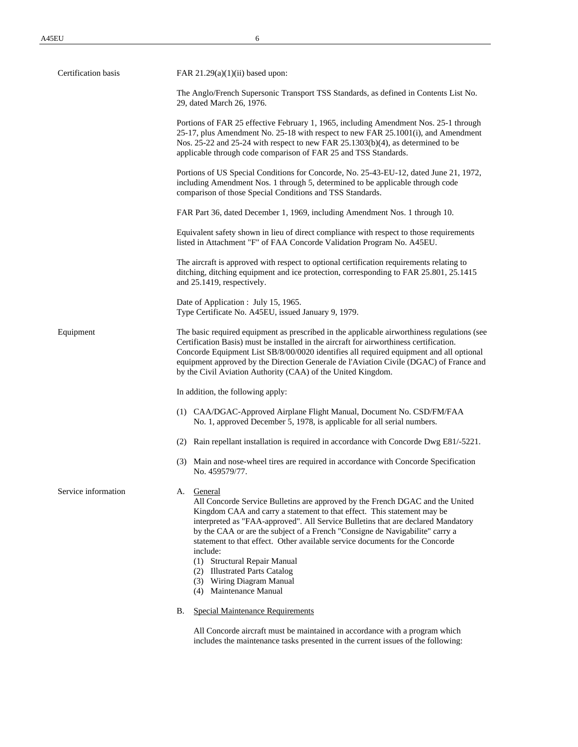| Certification basis | FAR $21.29(a)(1)(ii)$ based upon:                                                                                                                                                                                                                                                                                                                                                                                                                                                                                                    |  |  |  |
|---------------------|--------------------------------------------------------------------------------------------------------------------------------------------------------------------------------------------------------------------------------------------------------------------------------------------------------------------------------------------------------------------------------------------------------------------------------------------------------------------------------------------------------------------------------------|--|--|--|
|                     | The Anglo/French Supersonic Transport TSS Standards, as defined in Contents List No.<br>29, dated March 26, 1976.                                                                                                                                                                                                                                                                                                                                                                                                                    |  |  |  |
|                     | Portions of FAR 25 effective February 1, 1965, including Amendment Nos. 25-1 through<br>25-17, plus Amendment No. 25-18 with respect to new FAR 25.1001(i), and Amendment<br>Nos. 25-22 and 25-24 with respect to new FAR 25.1303(b)(4), as determined to be<br>applicable through code comparison of FAR 25 and TSS Standards.                                                                                                                                                                                                      |  |  |  |
|                     | Portions of US Special Conditions for Concorde, No. 25-43-EU-12, dated June 21, 1972,<br>including Amendment Nos. 1 through 5, determined to be applicable through code<br>comparison of those Special Conditions and TSS Standards.                                                                                                                                                                                                                                                                                                 |  |  |  |
|                     | FAR Part 36, dated December 1, 1969, including Amendment Nos. 1 through 10.                                                                                                                                                                                                                                                                                                                                                                                                                                                          |  |  |  |
|                     | Equivalent safety shown in lieu of direct compliance with respect to those requirements<br>listed in Attachment "F" of FAA Concorde Validation Program No. A45EU.                                                                                                                                                                                                                                                                                                                                                                    |  |  |  |
|                     | The aircraft is approved with respect to optional certification requirements relating to<br>ditching, ditching equipment and ice protection, corresponding to FAR 25.801, 25.1415<br>and 25.1419, respectively.                                                                                                                                                                                                                                                                                                                      |  |  |  |
|                     | Date of Application : July 15, 1965.<br>Type Certificate No. A45EU, issued January 9, 1979.                                                                                                                                                                                                                                                                                                                                                                                                                                          |  |  |  |
| Equipment           | The basic required equipment as prescribed in the applicable airworthiness regulations (see<br>Certification Basis) must be installed in the aircraft for airworthiness certification.<br>Concorde Equipment List SB/8/00/0020 identifies all required equipment and all optional<br>equipment approved by the Direction Generale de l'Aviation Civile (DGAC) of France and<br>by the Civil Aviation Authority (CAA) of the United Kingdom.                                                                                          |  |  |  |
|                     | In addition, the following apply:                                                                                                                                                                                                                                                                                                                                                                                                                                                                                                    |  |  |  |
|                     | (1) CAA/DGAC-Approved Airplane Flight Manual, Document No. CSD/FM/FAA<br>No. 1, approved December 5, 1978, is applicable for all serial numbers.                                                                                                                                                                                                                                                                                                                                                                                     |  |  |  |
|                     | (2) Rain repellant installation is required in accordance with Concorde Dwg E81/-5221.                                                                                                                                                                                                                                                                                                                                                                                                                                               |  |  |  |
|                     | (3) Main and nose-wheel tires are required in accordance with Concorde Specification<br>No. 459579/77.                                                                                                                                                                                                                                                                                                                                                                                                                               |  |  |  |
| Service information | A. General<br>All Concorde Service Bulletins are approved by the French DGAC and the United<br>Kingdom CAA and carry a statement to that effect. This statement may be<br>interpreted as "FAA-approved". All Service Bulletins that are declared Mandatory<br>by the CAA or are the subject of a French "Consigne de Navigabilite" carry a<br>statement to that effect. Other available service documents for the Concorde<br>include:<br>(1) Structural Repair Manual<br>(2) Illustrated Parts Catalog<br>(3) Wiring Diagram Manual |  |  |  |
|                     | (4) Maintenance Manual<br><b>Special Maintenance Requirements</b><br>В.                                                                                                                                                                                                                                                                                                                                                                                                                                                              |  |  |  |
|                     | All Concorde aircraft must be maintained in accordance with a program which                                                                                                                                                                                                                                                                                                                                                                                                                                                          |  |  |  |

includes the maintenance tasks presented in the current issues of the following: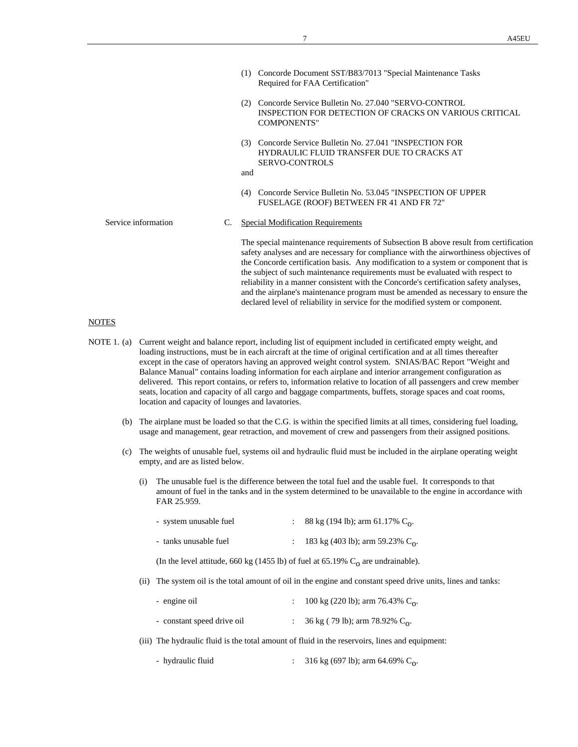- (1) Concorde Document SST/B83/7013 "Special Maintenance Tasks Required for FAA Certification"
- (2) Concorde Service Bulletin No. 27.040 "SERVO-CONTROL INSPECTION FOR DETECTION OF CRACKS ON VARIOUS CRITICAL COMPONENTS"
- (3) Concorde Service Bulletin No. 27.041 "INSPECTION FOR HYDRAULIC FLUID TRANSFER DUE TO CRACKS AT SERVO-CONTROLS
- and
- (4) Concorde Service Bulletin No. 53.045 "INSPECTION OF UPPER FUSELAGE (ROOF) BETWEEN FR 41 AND FR 72"

Service information C. Special Modification Requirements

The special maintenance requirements of Subsection B above result from certification safety analyses and are necessary for compliance with the airworthiness objectives of the Concorde certification basis. Any modification to a system or component that is the subject of such maintenance requirements must be evaluated with respect to reliability in a manner consistent with the Concorde's certification safety analyses, and the airplane's maintenance program must be amended as necessary to ensure the declared level of reliability in service for the modified system or component.

## **NOTES**

- NOTE 1. (a) Current weight and balance report, including list of equipment included in certificated empty weight, and loading instructions, must be in each aircraft at the time of original certification and at all times thereafter except in the case of operators having an approved weight control system. SNIAS/BAC Report "Weight and Balance Manual" contains loading information for each airplane and interior arrangement configuration as delivered. This report contains, or refers to, information relative to location of all passengers and crew member seats, location and capacity of all cargo and baggage compartments, buffets, storage spaces and coat rooms, location and capacity of lounges and lavatories.
	- (b) The airplane must be loaded so that the C.G. is within the specified limits at all times, considering fuel loading, usage and management, gear retraction, and movement of crew and passengers from their assigned positions.
	- (c) The weights of unusable fuel, systems oil and hydraulic fluid must be included in the airplane operating weight empty, and are as listed below.
		- (i) The unusable fuel is the difference between the total fuel and the usable fuel. It corresponds to that amount of fuel in the tanks and in the system determined to be unavailable to the engine in accordance with FAR 25.959.

| - system unusable fuel | 88 kg (194 lb); arm 61.17% $C_0$ .  |
|------------------------|-------------------------------------|
| - tanks unusable fuel  | 183 kg (403 lb); arm 59.23% $C_0$ . |

(In the level attitude, 660 kg (1455 lb) of fuel at  $65.19\%$  C<sub>0</sub> are undrainable).

(ii) The system oil is the total amount of oil in the engine and constant speed drive units, lines and tanks:

| - engine oil               | : 100 kg (220 lb); arm 76.43% $C_0$ . |
|----------------------------|---------------------------------------|
| - constant speed drive oil | : 36 kg (79 lb); arm 78.92% $C_0$ .   |

- (iii) The hydraulic fluid is the total amount of fluid in the reservoirs, lines and equipment:
	- hydraulic fluid  $\qquad \qquad$  : 316 kg (697 lb); arm 64.69% C<sub>0</sub>.